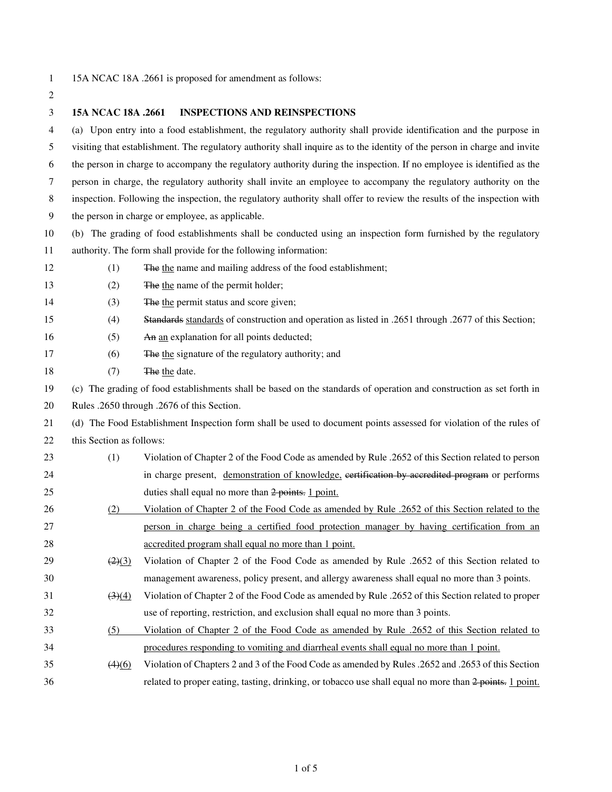2

1 15A NCAC 18A .2661 is proposed for amendment as follows:

3 **15A NCAC 18A .2661 INSPECTIONS AND REINSPECTIONS**  4 (a) Upon entry into a food establishment, the regulatory authority shall provide identification and the purpose in 5 visiting that establishment. The regulatory authority shall inquire as to the identity of the person in charge and invite 6 the person in charge to accompany the regulatory authority during the inspection. If no employee is identified as the 7 person in charge, the regulatory authority shall invite an employee to accompany the regulatory authority on the 8 inspection. Following the inspection, the regulatory authority shall offer to review the results of the inspection with 9 the person in charge or employee, as applicable. 10 (b) The grading of food establishments shall be conducted using an inspection form furnished by the regulatory 11 authority. The form shall provide for the following information: 12 (1) The the name and mailing address of the food establishment; 13 (2) The the name of the permit holder; 14 (3) The the permit status and score given; 15 (4) Standards standards of construction and operation as listed in .2651 through .2677 of this Section; 16 (5) An an explanation for all points deducted; 17 (6) The the signature of the regulatory authority; and 18 (7) The the date. 19 (c) The grading of food establishments shall be based on the standards of operation and construction as set forth in 20 Rules .2650 through .2676 of this Section. 21 (d) The Food Establishment Inspection form shall be used to document points assessed for violation of the rules of 22 this Section as follows: 23 (1) Violation of Chapter 2 of the Food Code as amended by Rule .2652 of this Section related to person 24 in charge present, demonstration of knowledge, certification by accredited program or performs 25 duties shall equal no more than 2 points. 1 point. 26 (2) Violation of Chapter 2 of the Food Code as amended by Rule .2652 of this Section related to the 27 person in charge being a certified food protection manager by having certification from an 28 accredited program shall equal no more than 1 point. 29 ( $\frac{(2)(3)}{2}$  Violation of Chapter 2 of the Food Code as amended by Rule .2652 of this Section related to 30 management awareness, policy present, and allergy awareness shall equal no more than 3 points. 31 (3)(4) Violation of Chapter 2 of the Food Code as amended by Rule .2652 of this Section related to proper 32 use of reporting, restriction, and exclusion shall equal no more than 3 points. 33 (5) Violation of Chapter 2 of the Food Code as amended by Rule .2652 of this Section related to 34 procedures responding to vomiting and diarrheal events shall equal no more than 1 point. 35 (4)(6) Violation of Chapters 2 and 3 of the Food Code as amended by Rules .2652 and .2653 of this Section 36 related to proper eating, tasting, drinking, or tobacco use shall equal no more than 2 points. 1 point.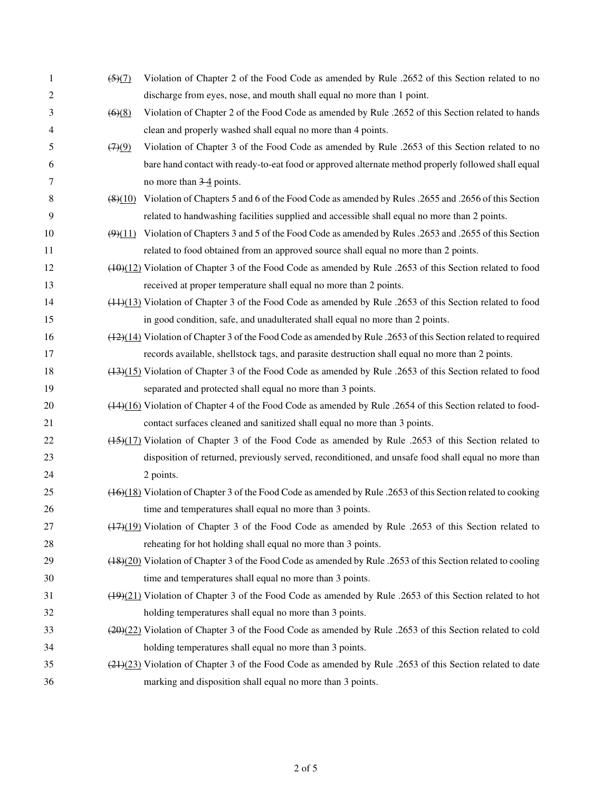| 1              | $\left(5\right)\left(7\right)$ | Violation of Chapter 2 of the Food Code as amended by Rule .2652 of this Section related to no                          |
|----------------|--------------------------------|-------------------------------------------------------------------------------------------------------------------------|
| $\overline{c}$ |                                | discharge from eyes, nose, and mouth shall equal no more than 1 point.                                                  |
| 3              | (6)(8)                         | Violation of Chapter 2 of the Food Code as amended by Rule .2652 of this Section related to hands                       |
| 4              |                                | clean and properly washed shall equal no more than 4 points.                                                            |
| 5              | (7)(9)                         | Violation of Chapter 3 of the Food Code as amended by Rule .2653 of this Section related to no                          |
| 6              |                                | bare hand contact with ready-to-eat food or approved alternate method properly followed shall equal                     |
| 7              |                                | no more than $3-4$ points.                                                                                              |
| 8              |                                | (8)(10) Violation of Chapters 5 and 6 of the Food Code as amended by Rules .2655 and .2656 of this Section              |
| 9              |                                | related to handwashing facilities supplied and accessible shall equal no more than 2 points.                            |
| 10             | (9)(11)                        | Violation of Chapters 3 and 5 of the Food Code as amended by Rules .2653 and .2655 of this Section                      |
| 11             |                                | related to food obtained from an approved source shall equal no more than 2 points.                                     |
| 12             |                                | $(10)(12)$ Violation of Chapter 3 of the Food Code as amended by Rule .2653 of this Section related to food             |
| 13             |                                | received at proper temperature shall equal no more than 2 points.                                                       |
| 14             |                                | $(4.1)(13)$ Violation of Chapter 3 of the Food Code as amended by Rule .2653 of this Section related to food            |
| 15             |                                | in good condition, safe, and unadulterated shall equal no more than 2 points.                                           |
| 16             |                                | (42)(14) Violation of Chapter 3 of the Food Code as amended by Rule .2653 of this Section related to required           |
| 17             |                                | records available, shellstock tags, and parasite destruction shall equal no more than 2 points.                         |
| 18             |                                | (43)(15) Violation of Chapter 3 of the Food Code as amended by Rule .2653 of this Section related to food               |
| 19             |                                | separated and protected shall equal no more than 3 points.                                                              |
| 20             |                                | $(14)(16)$ Violation of Chapter 4 of the Food Code as amended by Rule .2654 of this Section related to food-            |
| 21             |                                | contact surfaces cleaned and sanitized shall equal no more than 3 points.                                               |
| 22             |                                | (15)(17) Violation of Chapter 3 of the Food Code as amended by Rule .2653 of this Section related to                    |
| 23             |                                | disposition of returned, previously served, reconditioned, and unsafe food shall equal no more than                     |
| 24             |                                | 2 points.                                                                                                               |
| 25             |                                | (46)(18) Violation of Chapter 3 of the Food Code as amended by Rule .2653 of this Section related to cooking            |
| 26             |                                | time and temperatures shall equal no more than 3 points.                                                                |
| 27             |                                | $\frac{(17)(19)}{(17)(19)}$ Violation of Chapter 3 of the Food Code as amended by Rule .2653 of this Section related to |
| 28             |                                | reheating for hot holding shall equal no more than 3 points.                                                            |
| 29             |                                | (48)(20) Violation of Chapter 3 of the Food Code as amended by Rule .2653 of this Section related to cooling            |
| 30             |                                | time and temperatures shall equal no more than 3 points.                                                                |
| 31             |                                | $(19)(21)$ Violation of Chapter 3 of the Food Code as amended by Rule .2653 of this Section related to hot              |
| 32             |                                | holding temperatures shall equal no more than 3 points.                                                                 |
| 33             |                                | (20)(22) Violation of Chapter 3 of the Food Code as amended by Rule .2653 of this Section related to cold               |
| 34             |                                | holding temperatures shall equal no more than 3 points.                                                                 |
| 35             |                                | $(24)(23)$ Violation of Chapter 3 of the Food Code as amended by Rule .2653 of this Section related to date             |
| 36             |                                | marking and disposition shall equal no more than 3 points.                                                              |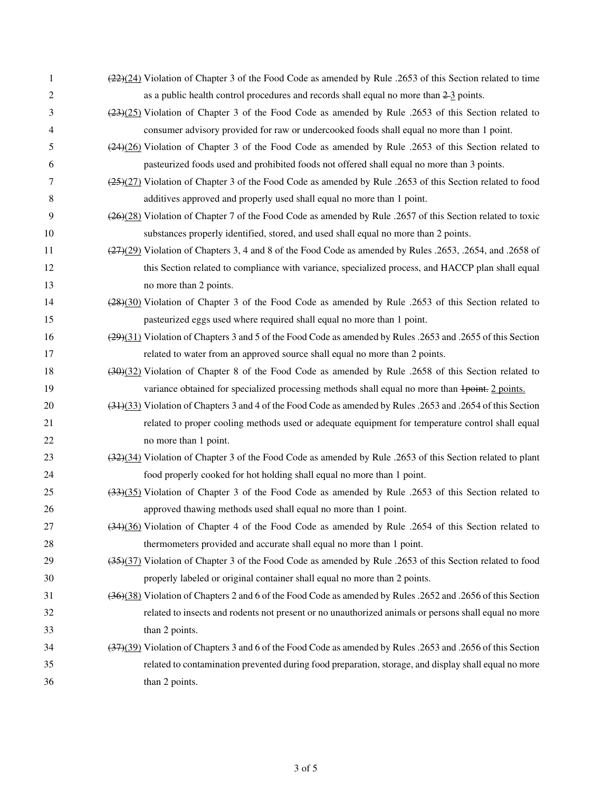| 1  | $\left(\frac{22}{22}\right)\right$ Violation of Chapter 3 of the Food Code as amended by Rule .2653 of this Section related to time |
|----|-------------------------------------------------------------------------------------------------------------------------------------|
| 2  | as a public health control procedures and records shall equal no more than $2-\frac{3}{2}$ points.                                  |
| 3  | $(23)(25)$ Violation of Chapter 3 of the Food Code as amended by Rule .2653 of this Section related to                              |
| 4  | consumer advisory provided for raw or undercooked foods shall equal no more than 1 point.                                           |
| 5  | $(24)(26)$ Violation of Chapter 3 of the Food Code as amended by Rule .2653 of this Section related to                              |
| 6  | pasteurized foods used and prohibited foods not offered shall equal no more than 3 points.                                          |
| 7  | $\left(\frac{25}{22}\right)$ Violation of Chapter 3 of the Food Code as amended by Rule .2653 of this Section related to food       |
| 8  | additives approved and properly used shall equal no more than 1 point.                                                              |
| 9  | (26)(28) Violation of Chapter 7 of the Food Code as amended by Rule .2657 of this Section related to toxic                          |
| 10 | substances properly identified, stored, and used shall equal no more than 2 points.                                                 |
| 11 | $\left(\frac{27}{22}\right)$ Violation of Chapters 3, 4 and 8 of the Food Code as amended by Rules .2653, .2654, and .2658 of       |
| 12 | this Section related to compliance with variance, specialized process, and HACCP plan shall equal                                   |
| 13 | no more than 2 points.                                                                                                              |
| 14 | (28)(30) Violation of Chapter 3 of the Food Code as amended by Rule .2653 of this Section related to                                |
| 15 | pasteurized eggs used where required shall equal no more than 1 point.                                                              |
| 16 | (29)(31) Violation of Chapters 3 and 5 of the Food Code as amended by Rules .2653 and .2655 of this Section                         |
| 17 | related to water from an approved source shall equal no more than 2 points.                                                         |
| 18 | (30)(32) Violation of Chapter 8 of the Food Code as amended by Rule .2658 of this Section related to                                |
| 19 | variance obtained for specialized processing methods shall equal no more than 1 points. 2 points.                                   |
| 20 | (34)(33) Violation of Chapters 3 and 4 of the Food Code as amended by Rules .2653 and .2654 of this Section                         |
| 21 | related to proper cooling methods used or adequate equipment for temperature control shall equal                                    |
| 22 | no more than 1 point.                                                                                                               |
| 23 | (32)(34) Violation of Chapter 3 of the Food Code as amended by Rule .2653 of this Section related to plant                          |
| 24 | food properly cooked for hot holding shall equal no more than 1 point.                                                              |
| 25 | (33)(35) Violation of Chapter 3 of the Food Code as amended by Rule .2653 of this Section related to                                |
| 26 | approved thawing methods used shall equal no more than 1 point.                                                                     |
| 27 | (34)(36) Violation of Chapter 4 of the Food Code as amended by Rule .2654 of this Section related to                                |
| 28 | thermometers provided and accurate shall equal no more than 1 point.                                                                |
| 29 | (35)(37) Violation of Chapter 3 of the Food Code as amended by Rule .2653 of this Section related to food                           |
| 30 | properly labeled or original container shall equal no more than 2 points.                                                           |
| 31 | (36)(38) Violation of Chapters 2 and 6 of the Food Code as amended by Rules .2652 and .2656 of this Section                         |
| 32 | related to insects and rodents not present or no unauthorized animals or persons shall equal no more                                |
| 33 | than 2 points.                                                                                                                      |
| 34 | (37)(39) Violation of Chapters 3 and 6 of the Food Code as amended by Rules .2653 and .2656 of this Section                         |
| 35 | related to contamination prevented during food preparation, storage, and display shall equal no more                                |
| 36 | than 2 points.                                                                                                                      |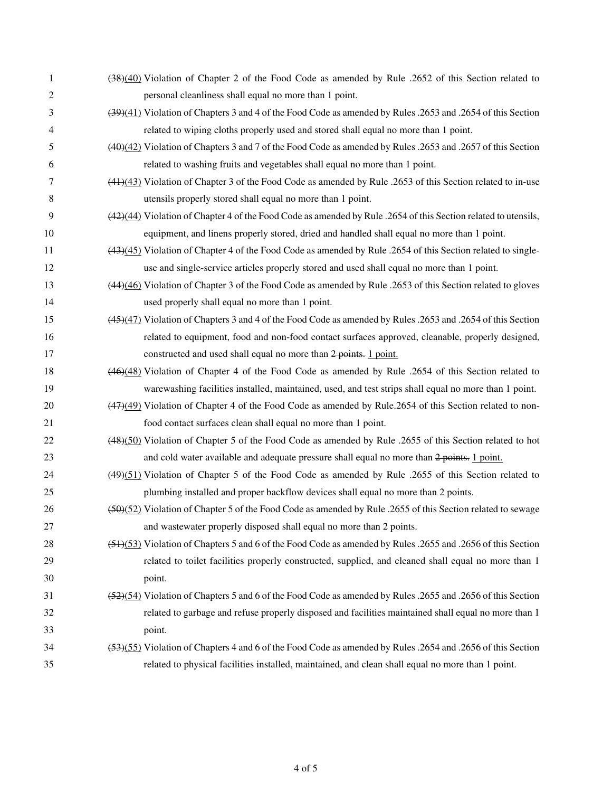| 1              | (38)(40) Violation of Chapter 2 of the Food Code as amended by Rule .2652 of this Section related to           |
|----------------|----------------------------------------------------------------------------------------------------------------|
| $\overline{c}$ | personal cleanliness shall equal no more than 1 point.                                                         |
| 3              | (39)(41) Violation of Chapters 3 and 4 of the Food Code as amended by Rules .2653 and .2654 of this Section    |
| 4              | related to wiping cloths properly used and stored shall equal no more than 1 point.                            |
| 5              | (40)(42) Violation of Chapters 3 and 7 of the Food Code as amended by Rules .2653 and .2657 of this Section    |
| 6              | related to washing fruits and vegetables shall equal no more than 1 point.                                     |
| 7              | $(44)(43)$ Violation of Chapter 3 of the Food Code as amended by Rule .2653 of this Section related to in-use  |
| 8              | utensils properly stored shall equal no more than 1 point.                                                     |
| 9              | (42)(44) Violation of Chapter 4 of the Food Code as amended by Rule .2654 of this Section related to utensils, |
| 10             | equipment, and linens properly stored, dried and handled shall equal no more than 1 point.                     |
| 11             | $(43)(45)$ Violation of Chapter 4 of the Food Code as amended by Rule .2654 of this Section related to single- |
| 12             | use and single-service articles properly stored and used shall equal no more than 1 point.                     |
| 13             | (44)(46) Violation of Chapter 3 of the Food Code as amended by Rule .2653 of this Section related to gloves    |
| 14             | used properly shall equal no more than 1 point.                                                                |
| 15             | (45)(47) Violation of Chapters 3 and 4 of the Food Code as amended by Rules .2653 and .2654 of this Section    |
| 16             | related to equipment, food and non-food contact surfaces approved, cleanable, properly designed,               |
| 17             | constructed and used shall equal no more than 2 points. 1 point.                                               |
| 18             | (46)(48) Violation of Chapter 4 of the Food Code as amended by Rule .2654 of this Section related to           |
| 19             | warewashing facilities installed, maintained, used, and test strips shall equal no more than 1 point.          |
| 20             | (47)(49) Violation of Chapter 4 of the Food Code as amended by Rule.2654 of this Section related to non-       |
| 21             | food contact surfaces clean shall equal no more than 1 point.                                                  |
| 22             | (48)(50) Violation of Chapter 5 of the Food Code as amended by Rule .2655 of this Section related to hot       |
| 23             | and cold water available and adequate pressure shall equal no more than 2 points. 1 point.                     |
| 24             | (49)(51) Violation of Chapter 5 of the Food Code as amended by Rule .2655 of this Section related to           |
| 25             | plumbing installed and proper backflow devices shall equal no more than 2 points.                              |
| 26             | (52) Violation of Chapter 5 of the Food Code as amended by Rule .2655 of this Section related to sewage        |
| 27             | and wastewater properly disposed shall equal no more than 2 points.                                            |
| 28             | (51)(53) Violation of Chapters 5 and 6 of the Food Code as amended by Rules .2655 and .2656 of this Section    |
| 29             | related to toilet facilities properly constructed, supplied, and cleaned shall equal no more than 1            |
| 30             | point.                                                                                                         |
| 31             | (52)(54) Violation of Chapters 5 and 6 of the Food Code as amended by Rules .2655 and .2656 of this Section    |
| 32             | related to garbage and refuse properly disposed and facilities maintained shall equal no more than 1           |
| 33             | point.                                                                                                         |
| 34             | (53)(55) Violation of Chapters 4 and 6 of the Food Code as amended by Rules .2654 and .2656 of this Section    |
| 35             | related to physical facilities installed, maintained, and clean shall equal no more than 1 point.              |